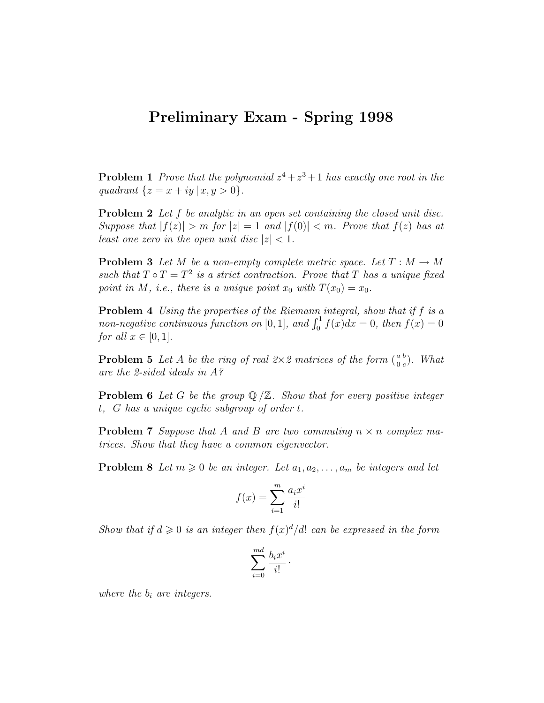## Preliminary Exam - Spring 1998

**Problem 1** Prove that the polynomial  $z^4 + z^3 + 1$  has exactly one root in the quadrant  $\{z = x + iy \, | \, x, y > 0\}.$ 

**Problem 2** Let f be analytic in an open set containing the closed unit disc. Suppose that  $|f(z)| > m$  for  $|z| = 1$  and  $|f(0)| < m$ . Prove that  $f(z)$  has at least one zero in the open unit disc  $|z| < 1$ .

**Problem 3** Let M be a non-empty complete metric space. Let  $T : M \to M$ such that  $T \circ T = T^2$  is a strict contraction. Prove that T has a unique fixed point in M, i.e., there is a unique point  $x_0$  with  $T(x_0) = x_0$ .

**Problem 4** Using the properties of the Riemann integral, show that if f is a non-negative continuous function on [0, 1], and  $\int_0^1 f(x)dx = 0$ , then  $f(x) = 0$ for all  $x \in [0,1]$ .

**Problem 5** Let A be the ring of real  $2 \times 2$  matrices of the form  $\binom{a}{0}$ 0 b  $_{c}^{b}$ ). What are the 2-sided ideals in A?

**Problem 6** Let G be the group  $\mathbb{Q}/\mathbb{Z}$ . Show that for every positive integer t, G has a unique cyclic subgroup of order t.

**Problem 7** Suppose that A and B are two commuting  $n \times n$  complex matrices. Show that they have a common eigenvector.

**Problem 8** Let  $m \geq 0$  be an integer. Let  $a_1, a_2, \ldots, a_m$  be integers and let

$$
f(x) = \sum_{i=1}^{m} \frac{a_i x^i}{i!}
$$

Show that if  $d \geq 0$  is an integer then  $f(x)^d/d!$  can be expressed in the form

$$
\sum_{i=0}^{md} \frac{b_i x^i}{i!}.
$$

where the  $b_i$  are integers.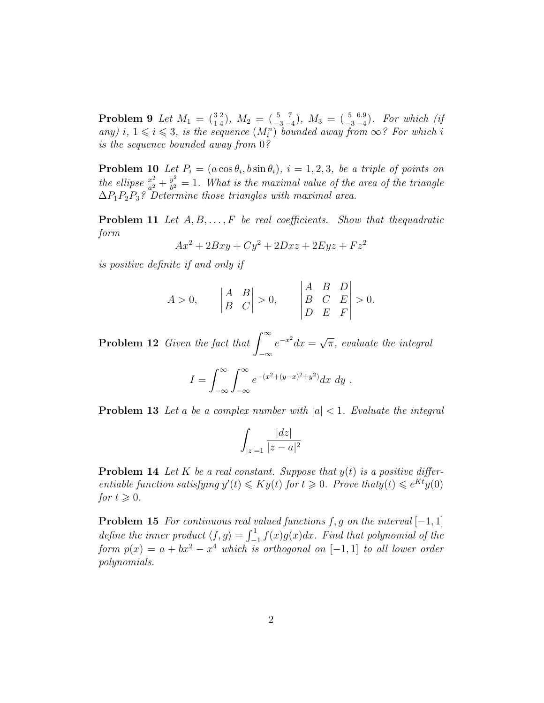**Problem 9** Let  $M_1 = \begin{pmatrix} 3 \\ 1 \end{pmatrix}$ 2  $\binom{2}{4}$ ,  $M_2 = \binom{5}{-3}$ 7  $\binom{7}{-4}$ ,  $M_3 = \binom{5}{-3}$ 6.9  $\binom{6.9}{-4}$ . For which (if any) i,  $1 \leq i \leq 3$ , is the sequence  $(M_i^n)$  bounded away from  $\infty$ ? For which i is the sequence bounded away from 0?

**Problem 10** Let  $P_i = (a \cos \theta_i, b \sin \theta_i), i = 1, 2, 3$ , be a triple of points on the ellipse  $\frac{x^2}{a^2}$  $rac{x^2}{a^2} + \frac{y^2}{b^2}$  $\frac{y^2}{b^2} = 1$ . What is the maximal value of the area of the triangle  $\Delta P_1 P_2 P_3$ ? Determine those triangles with maximal area.

**Problem 11** Let  $A, B, \ldots, F$  be real coefficients. Show that thequadratic form

$$
Ax^2 + 2Bxy + Cy^2 + 2Dxz + 2Eyz + Fz^2
$$

is positive definite if and only if

$$
A > 0,
$$
  $\begin{vmatrix} A & B \\ B & C \end{vmatrix} > 0,$   $\begin{vmatrix} A & B & D \\ B & C & E \\ D & E & F \end{vmatrix} > 0.$ 

**Problem 12** Given the fact that  $\int_{0}^{\infty}$ −∞  $e^{-x^2}dx =$ √  $\overline{\pi}$ , evaluate the integral

$$
I = \int_{-\infty}^{\infty} \int_{-\infty}^{\infty} e^{-(x^2 + (y - x)^2 + y^2)} dx dy.
$$

**Problem 13** Let a be a complex number with  $|a| < 1$ . Evaluate the integral

$$
\int_{|z|=1} \frac{|dz|}{|z-a|^2}
$$

**Problem 14** Let K be a real constant. Suppose that  $y(t)$  is a positive differentiable function satisfying  $y'(t) \leq K y(t)$  for  $t \geq 0$ . Prove that  $y(t) \leq e^{Kt} y(0)$ for  $t \geqslant 0$ .

**Problem 15** For continuous real valued functions f, g on the interval  $[-1, 1]$ define the inner product  $\langle f, g \rangle = \int_{-1}^{1} f(x)g(x)dx$ . Find that polynomial of the form  $p(x) = a + bx^2 - x^4$  which is orthogonal on  $[-1, 1]$  to all lower order polynomials.